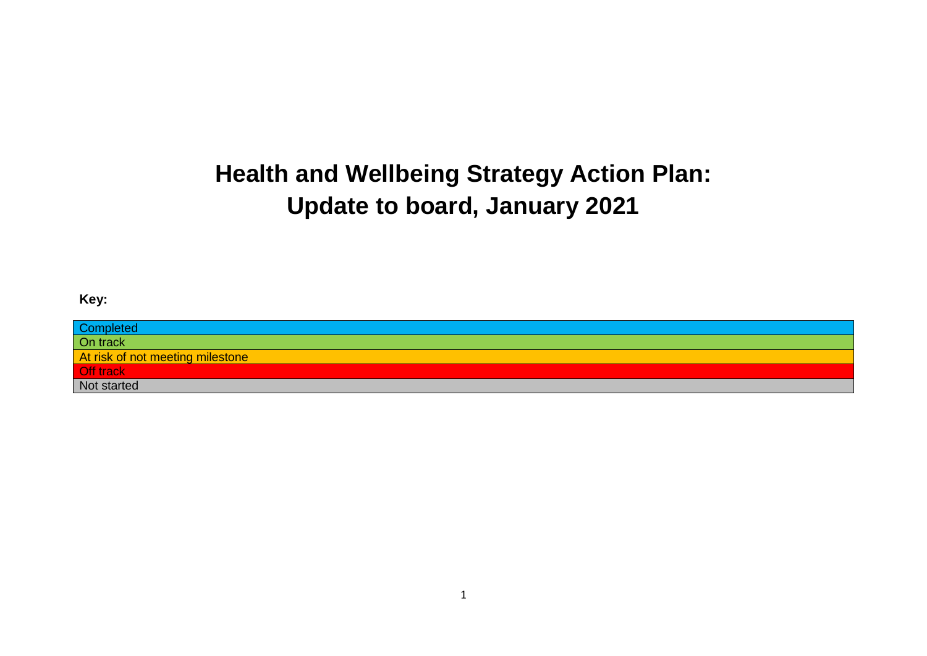# **Health and Wellbeing Strategy Action Plan: Update to board, January 2021**

### **Key:**

| <b>Completed</b>                 |
|----------------------------------|
| On track                         |
| At risk of not meeting milestone |
| Off track                        |
| Not started                      |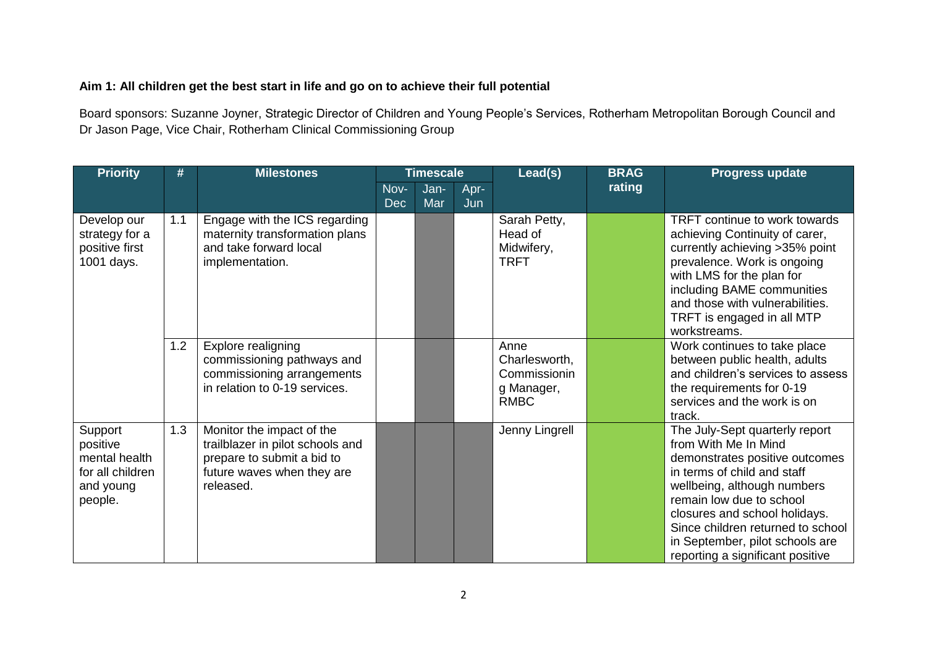## **Aim 1: All children get the best start in life and go on to achieve their full potential**

Board sponsors: Suzanne Joyner, Strategic Director of Children and Young People's Services, Rotherham Metropolitan Borough Council and Dr Jason Page, Vice Chair, Rotherham Clinical Commissioning Group

| <b>Priority</b>                                                                  | #   | <b>Milestones</b>                                                                                                                      | <b>Timescale</b>   |             | Lead(s)     | <b>BRAG</b>                                                        | <b>Progress update</b> |                                                                                                                                                                                                                                                                                                                                 |
|----------------------------------------------------------------------------------|-----|----------------------------------------------------------------------------------------------------------------------------------------|--------------------|-------------|-------------|--------------------------------------------------------------------|------------------------|---------------------------------------------------------------------------------------------------------------------------------------------------------------------------------------------------------------------------------------------------------------------------------------------------------------------------------|
|                                                                                  |     |                                                                                                                                        | Nov-<br><b>Dec</b> | Jan-<br>Mar | Apr-<br>Jun |                                                                    | rating                 |                                                                                                                                                                                                                                                                                                                                 |
| Develop our<br>strategy for a<br>positive first<br>1001 days.                    | 1.1 | Engage with the ICS regarding<br>maternity transformation plans<br>and take forward local<br>implementation.                           |                    |             |             | Sarah Petty,<br>Head of<br>Midwifery,<br><b>TRFT</b>               |                        | <b>TRFT</b> continue to work towards<br>achieving Continuity of carer,<br>currently achieving >35% point<br>prevalence. Work is ongoing<br>with LMS for the plan for<br>including BAME communities<br>and those with vulnerabilities.<br>TRFT is engaged in all MTP<br>workstreams.                                             |
|                                                                                  | 1.2 | Explore realigning<br>commissioning pathways and<br>commissioning arrangements<br>in relation to 0-19 services.                        |                    |             |             | Anne<br>Charlesworth,<br>Commissionin<br>g Manager,<br><b>RMBC</b> |                        | Work continues to take place<br>between public health, adults<br>and children's services to assess<br>the requirements for 0-19<br>services and the work is on<br>track.                                                                                                                                                        |
| Support<br>positive<br>mental health<br>for all children<br>and young<br>people. | 1.3 | Monitor the impact of the<br>trailblazer in pilot schools and<br>prepare to submit a bid to<br>future waves when they are<br>released. |                    |             |             | Jenny Lingrell                                                     |                        | The July-Sept quarterly report<br>from With Me In Mind<br>demonstrates positive outcomes<br>in terms of child and staff<br>wellbeing, although numbers<br>remain low due to school<br>closures and school holidays.<br>Since children returned to school<br>in September, pilot schools are<br>reporting a significant positive |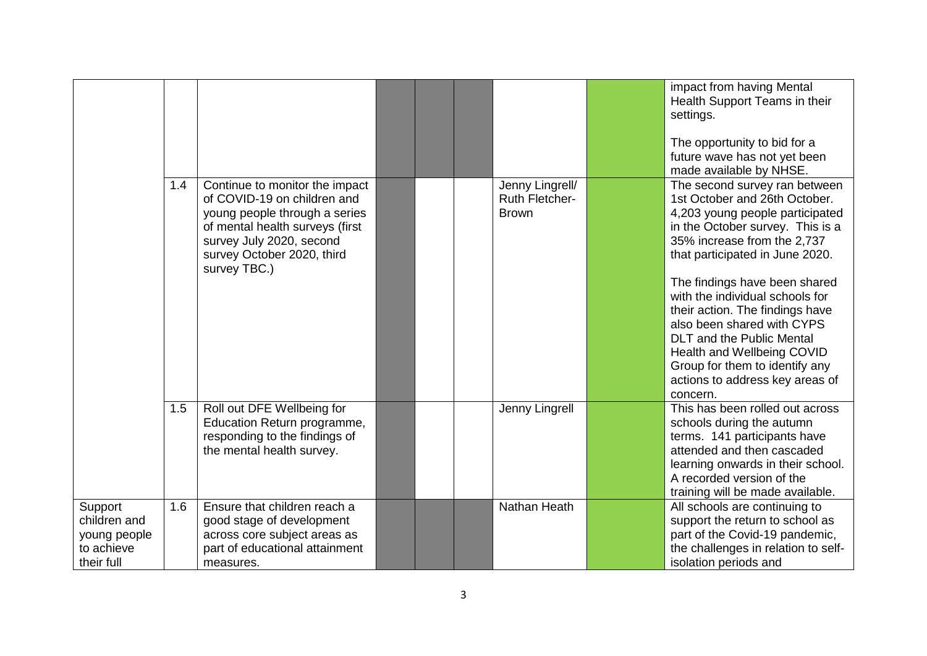|                                                                     |     |                                                                                                                                                                                                             |  |                                                          | impact from having Mental<br>Health Support Teams in their<br>settings.<br>The opportunity to bid for a<br>future wave has not yet been<br>made available by NHSE.                                                                                                                                                                                                                                                                                                                              |
|---------------------------------------------------------------------|-----|-------------------------------------------------------------------------------------------------------------------------------------------------------------------------------------------------------------|--|----------------------------------------------------------|-------------------------------------------------------------------------------------------------------------------------------------------------------------------------------------------------------------------------------------------------------------------------------------------------------------------------------------------------------------------------------------------------------------------------------------------------------------------------------------------------|
|                                                                     | 1.4 | Continue to monitor the impact<br>of COVID-19 on children and<br>young people through a series<br>of mental health surveys (first<br>survey July 2020, second<br>survey October 2020, third<br>survey TBC.) |  | Jenny Lingrell/<br><b>Ruth Fletcher-</b><br><b>Brown</b> | The second survey ran between<br>1st October and 26th October.<br>4,203 young people participated<br>in the October survey. This is a<br>35% increase from the 2,737<br>that participated in June 2020.<br>The findings have been shared<br>with the individual schools for<br>their action. The findings have<br>also been shared with CYPS<br><b>DLT</b> and the Public Mental<br>Health and Wellbeing COVID<br>Group for them to identify any<br>actions to address key areas of<br>concern. |
|                                                                     | 1.5 | Roll out DFE Wellbeing for<br>Education Return programme,<br>responding to the findings of<br>the mental health survey.                                                                                     |  | Jenny Lingrell                                           | This has been rolled out across<br>schools during the autumn<br>terms. 141 participants have<br>attended and then cascaded<br>learning onwards in their school.<br>A recorded version of the<br>training will be made available.                                                                                                                                                                                                                                                                |
| Support<br>children and<br>young people<br>to achieve<br>their full | 1.6 | Ensure that children reach a<br>good stage of development<br>across core subject areas as<br>part of educational attainment<br>measures.                                                                    |  | <b>Nathan Heath</b>                                      | All schools are continuing to<br>support the return to school as<br>part of the Covid-19 pandemic,<br>the challenges in relation to self-<br>isolation periods and                                                                                                                                                                                                                                                                                                                              |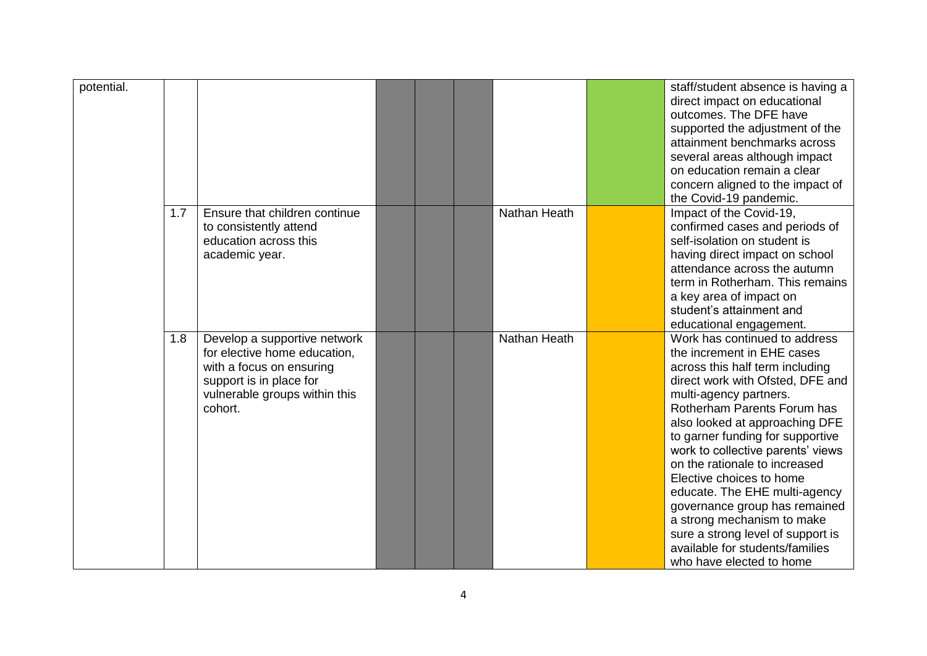| potential. |     |                                                                                                                                                                 |  |              | staff/student absence is having a<br>direct impact on educational<br>outcomes. The DFE have<br>supported the adjustment of the<br>attainment benchmarks across<br>several areas although impact<br>on education remain a clear<br>concern aligned to the impact of<br>the Covid-19 pandemic.                                                                                                                                                                                                                                                                            |
|------------|-----|-----------------------------------------------------------------------------------------------------------------------------------------------------------------|--|--------------|-------------------------------------------------------------------------------------------------------------------------------------------------------------------------------------------------------------------------------------------------------------------------------------------------------------------------------------------------------------------------------------------------------------------------------------------------------------------------------------------------------------------------------------------------------------------------|
|            | 1.7 | Ensure that children continue<br>to consistently attend<br>education across this<br>academic year.                                                              |  | Nathan Heath | Impact of the Covid-19,<br>confirmed cases and periods of<br>self-isolation on student is<br>having direct impact on school<br>attendance across the autumn<br>term in Rotherham. This remains<br>a key area of impact on<br>student's attainment and<br>educational engagement.                                                                                                                                                                                                                                                                                        |
|            | 1.8 | Develop a supportive network<br>for elective home education,<br>with a focus on ensuring<br>support is in place for<br>vulnerable groups within this<br>cohort. |  | Nathan Heath | Work has continued to address<br>the increment in EHE cases<br>across this half term including<br>direct work with Ofsted, DFE and<br>multi-agency partners.<br>Rotherham Parents Forum has<br>also looked at approaching DFE<br>to garner funding for supportive<br>work to collective parents' views<br>on the rationale to increased<br>Elective choices to home<br>educate. The EHE multi-agency<br>governance group has remained<br>a strong mechanism to make<br>sure a strong level of support is<br>available for students/families<br>who have elected to home |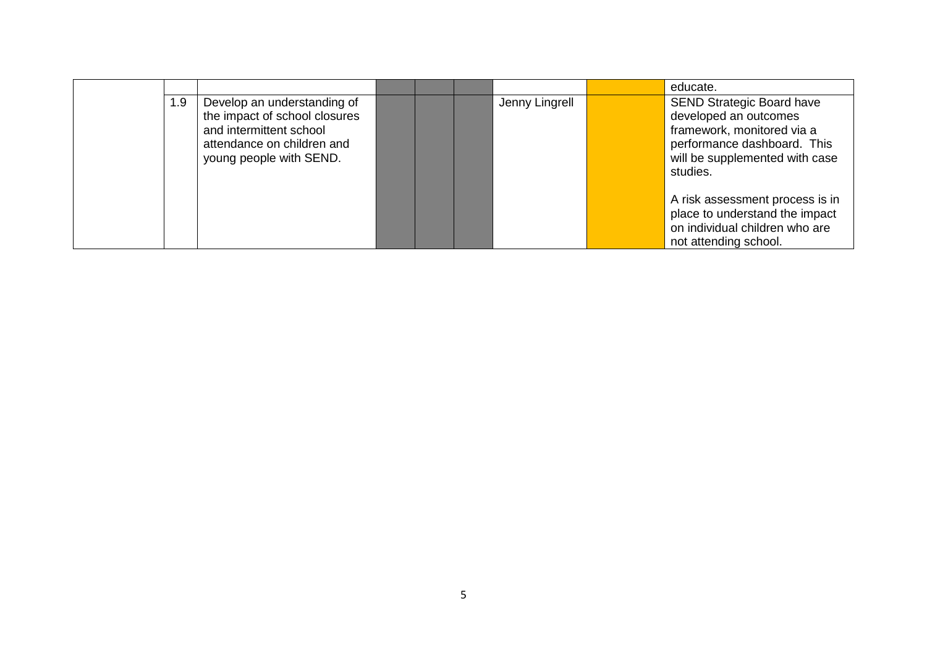|     |                                                                                                                                                  |  |                | educate.                                                                                                                                                             |
|-----|--------------------------------------------------------------------------------------------------------------------------------------------------|--|----------------|----------------------------------------------------------------------------------------------------------------------------------------------------------------------|
| 1.9 | Develop an understanding of<br>the impact of school closures<br>and intermittent school<br>attendance on children and<br>young people with SEND. |  | Jenny Lingrell | <b>SEND Strategic Board have</b><br>developed an outcomes<br>framework, monitored via a<br>performance dashboard. This<br>will be supplemented with case<br>studies. |
|     |                                                                                                                                                  |  |                | A risk assessment process is in<br>place to understand the impact<br>on individual children who are<br>not attending school.                                         |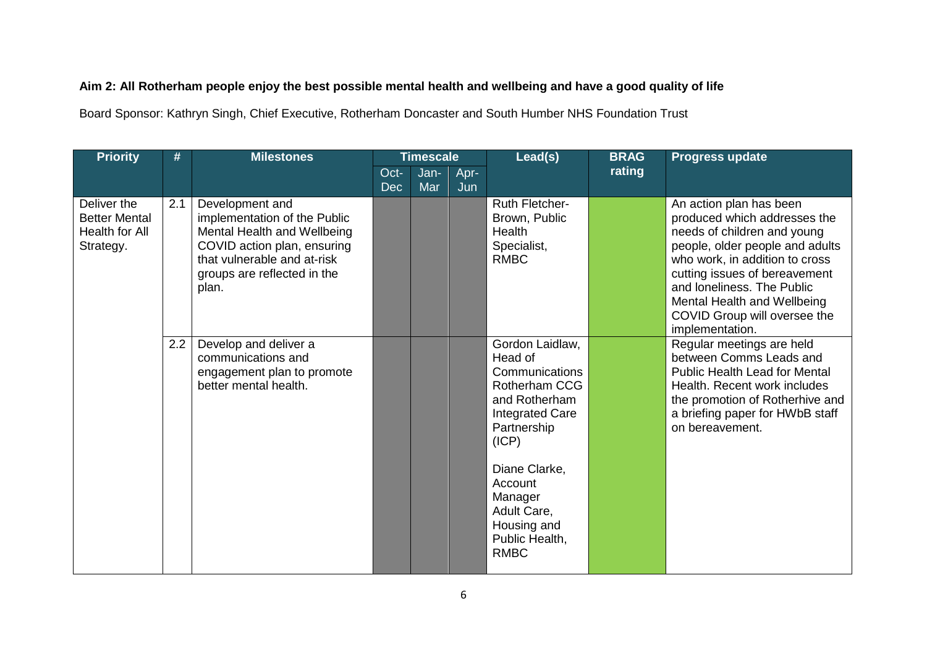## **Aim 2: All Rotherham people enjoy the best possible mental health and wellbeing and have a good quality of life**

Board Sponsor: Kathryn Singh, Chief Executive, Rotherham Doncaster and South Humber NHS Foundation Trust

| <b>Priority</b>                                                    | <b>Milestones</b><br><b>Timescale</b><br># |                                                                                                                                                                                      |                    | Lead(s)     | <b>BRAG</b> | <b>Progress update</b>                                                                                                                                                                                                                 |        |                                                                                                                                                                                                                                                                                                              |
|--------------------------------------------------------------------|--------------------------------------------|--------------------------------------------------------------------------------------------------------------------------------------------------------------------------------------|--------------------|-------------|-------------|----------------------------------------------------------------------------------------------------------------------------------------------------------------------------------------------------------------------------------------|--------|--------------------------------------------------------------------------------------------------------------------------------------------------------------------------------------------------------------------------------------------------------------------------------------------------------------|
|                                                                    |                                            |                                                                                                                                                                                      | Oct-<br><b>Dec</b> | Jan-<br>Mar | Apr-<br>Jun |                                                                                                                                                                                                                                        | rating |                                                                                                                                                                                                                                                                                                              |
| Deliver the<br><b>Better Mental</b><br>Health for All<br>Strategy. | 2.1                                        | Development and<br>implementation of the Public<br>Mental Health and Wellbeing<br>COVID action plan, ensuring<br>that vulnerable and at-risk<br>groups are reflected in the<br>plan. |                    |             |             | Ruth Fletcher-<br>Brown, Public<br>Health<br>Specialist,<br><b>RMBC</b>                                                                                                                                                                |        | An action plan has been<br>produced which addresses the<br>needs of children and young<br>people, older people and adults<br>who work, in addition to cross<br>cutting issues of bereavement<br>and loneliness. The Public<br>Mental Health and Wellbeing<br>COVID Group will oversee the<br>implementation. |
|                                                                    | 2.2                                        | Develop and deliver a<br>communications and<br>engagement plan to promote<br>better mental health.                                                                                   |                    |             |             | Gordon Laidlaw,<br>Head of<br>Communications<br>Rotherham CCG<br>and Rotherham<br><b>Integrated Care</b><br>Partnership<br>(ICP)<br>Diane Clarke,<br>Account<br>Manager<br>Adult Care,<br>Housing and<br>Public Health,<br><b>RMBC</b> |        | Regular meetings are held<br>between Comms Leads and<br><b>Public Health Lead for Mental</b><br>Health. Recent work includes<br>the promotion of Rotherhive and<br>a briefing paper for HWbB staff<br>on bereavement.                                                                                        |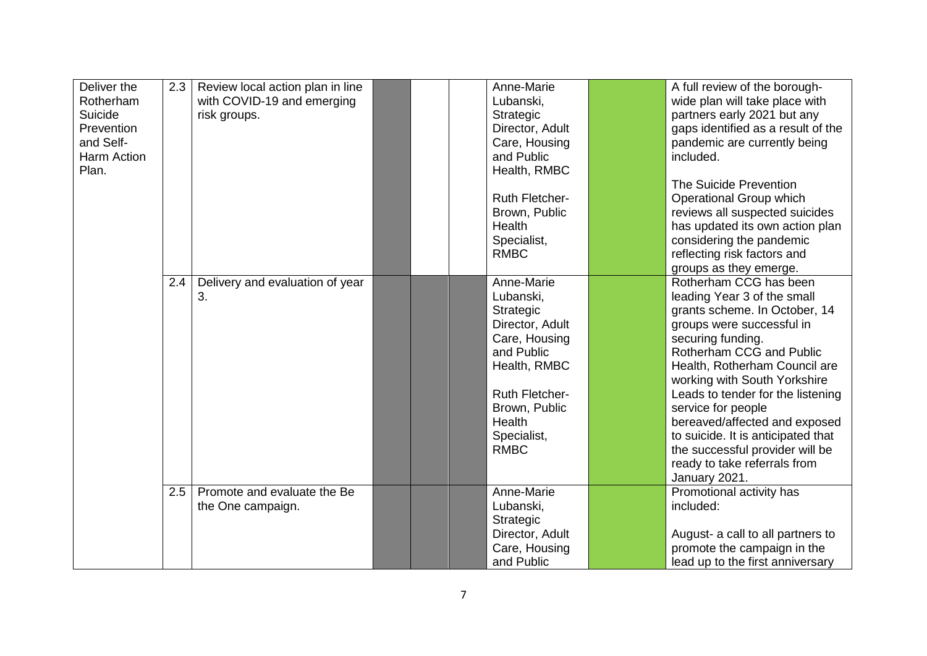| Deliver the<br>Rotherham<br>Suicide<br>Prevention<br>and Self-<br>Harm Action<br>Plan. | 2.3 | Review local action plan in line<br>with COVID-19 and emerging<br>risk groups. |  | Anne-Marie<br>Lubanski,<br>Strategic<br>Director, Adult<br>Care, Housing<br>and Public<br>Health, RMBC<br><b>Ruth Fletcher-</b><br>Brown, Public<br>Health<br>Specialist,<br><b>RMBC</b>        | A full review of the borough-<br>wide plan will take place with<br>partners early 2021 but any<br>gaps identified as a result of the<br>pandemic are currently being<br>included.<br>The Suicide Prevention<br>Operational Group which<br>reviews all suspected suicides<br>has updated its own action plan<br>considering the pandemic<br>reflecting risk factors and                                                                                                                |
|----------------------------------------------------------------------------------------|-----|--------------------------------------------------------------------------------|--|-------------------------------------------------------------------------------------------------------------------------------------------------------------------------------------------------|---------------------------------------------------------------------------------------------------------------------------------------------------------------------------------------------------------------------------------------------------------------------------------------------------------------------------------------------------------------------------------------------------------------------------------------------------------------------------------------|
|                                                                                        | 2.4 | Delivery and evaluation of year<br>3.                                          |  | Anne-Marie<br>Lubanski,<br>Strategic<br>Director, Adult<br>Care, Housing<br>and Public<br>Health, RMBC<br><b>Ruth Fletcher-</b><br>Brown, Public<br><b>Health</b><br>Specialist,<br><b>RMBC</b> | groups as they emerge.<br>Rotherham CCG has been<br>leading Year 3 of the small<br>grants scheme. In October, 14<br>groups were successful in<br>securing funding.<br>Rotherham CCG and Public<br>Health, Rotherham Council are<br>working with South Yorkshire<br>Leads to tender for the listening<br>service for people<br>bereaved/affected and exposed<br>to suicide. It is anticipated that<br>the successful provider will be<br>ready to take referrals from<br>January 2021. |
|                                                                                        | 2.5 | Promote and evaluate the Be<br>the One campaign.                               |  | Anne-Marie<br>Lubanski,<br>Strategic<br>Director, Adult<br>Care, Housing<br>and Public                                                                                                          | Promotional activity has<br>included:<br>August- a call to all partners to<br>promote the campaign in the<br>lead up to the first anniversary                                                                                                                                                                                                                                                                                                                                         |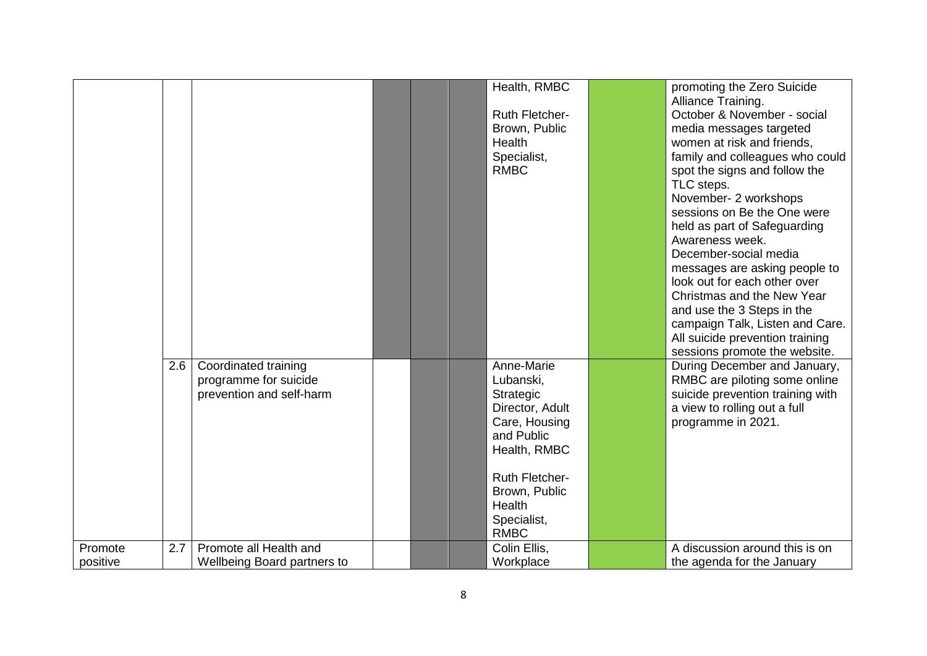|          |     |                                    |  | Health, RMBC          | promoting the Zero Suicide                           |
|----------|-----|------------------------------------|--|-----------------------|------------------------------------------------------|
|          |     |                                    |  |                       | Alliance Training.                                   |
|          |     |                                    |  | <b>Ruth Fletcher-</b> | October & November - social                          |
|          |     |                                    |  | Brown, Public         | media messages targeted                              |
|          |     |                                    |  | Health                | women at risk and friends,                           |
|          |     |                                    |  | Specialist,           | family and colleagues who could                      |
|          |     |                                    |  | <b>RMBC</b>           | spot the signs and follow the                        |
|          |     |                                    |  |                       | TLC steps.                                           |
|          |     |                                    |  |                       | November- 2 workshops<br>sessions on Be the One were |
|          |     |                                    |  |                       | held as part of Safeguarding                         |
|          |     |                                    |  |                       | Awareness week.                                      |
|          |     |                                    |  |                       | December-social media                                |
|          |     |                                    |  |                       | messages are asking people to                        |
|          |     |                                    |  |                       | look out for each other over                         |
|          |     |                                    |  |                       | Christmas and the New Year                           |
|          |     |                                    |  |                       | and use the 3 Steps in the                           |
|          |     |                                    |  |                       | campaign Talk, Listen and Care.                      |
|          |     |                                    |  |                       | All suicide prevention training                      |
|          |     |                                    |  |                       | sessions promote the website.                        |
|          | 2.6 | Coordinated training               |  | Anne-Marie            | During December and January,                         |
|          |     | programme for suicide              |  | Lubanski,             | RMBC are piloting some online                        |
|          |     | prevention and self-harm           |  | Strategic             | suicide prevention training with                     |
|          |     |                                    |  | Director, Adult       | a view to rolling out a full                         |
|          |     |                                    |  | Care, Housing         | programme in 2021.                                   |
|          |     |                                    |  | and Public            |                                                      |
|          |     |                                    |  | Health, RMBC          |                                                      |
|          |     |                                    |  | <b>Ruth Fletcher-</b> |                                                      |
|          |     |                                    |  | Brown, Public         |                                                      |
|          |     |                                    |  | <b>Health</b>         |                                                      |
|          |     |                                    |  | Specialist,           |                                                      |
|          |     |                                    |  | <b>RMBC</b>           |                                                      |
| Promote  | 2.7 | Promote all Health and             |  | Colin Ellis,          | A discussion around this is on                       |
| positive |     | <b>Wellbeing Board partners to</b> |  | Workplace             | the agenda for the January                           |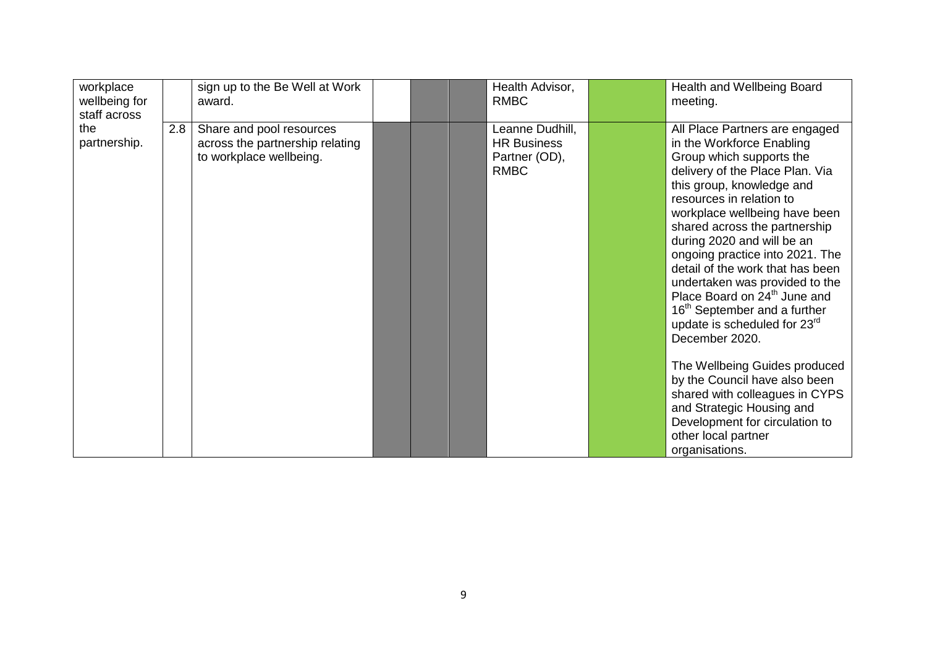| workplace<br>wellbeing for<br>staff across |     | sign up to the Be Well at Work<br>award.                                               |  | Health Advisor,<br><b>RMBC</b>                                        | Health and Wellbeing Board<br>meeting.                                                                                                                                                                                                                                                                                                                                                                                                                                                                                                                                                                                                                                                                                                                         |
|--------------------------------------------|-----|----------------------------------------------------------------------------------------|--|-----------------------------------------------------------------------|----------------------------------------------------------------------------------------------------------------------------------------------------------------------------------------------------------------------------------------------------------------------------------------------------------------------------------------------------------------------------------------------------------------------------------------------------------------------------------------------------------------------------------------------------------------------------------------------------------------------------------------------------------------------------------------------------------------------------------------------------------------|
| the<br>partnership.                        | 2.8 | Share and pool resources<br>across the partnership relating<br>to workplace wellbeing. |  | Leanne Dudhill,<br><b>HR Business</b><br>Partner (OD),<br><b>RMBC</b> | All Place Partners are engaged<br>in the Workforce Enabling<br>Group which supports the<br>delivery of the Place Plan. Via<br>this group, knowledge and<br>resources in relation to<br>workplace wellbeing have been<br>shared across the partnership<br>during 2020 and will be an<br>ongoing practice into 2021. The<br>detail of the work that has been<br>undertaken was provided to the<br>Place Board on 24 <sup>th</sup> June and<br>16 <sup>th</sup> September and a further<br>update is scheduled for 23 <sup>rd</sup><br>December 2020.<br>The Wellbeing Guides produced<br>by the Council have also been<br>shared with colleagues in CYPS<br>and Strategic Housing and<br>Development for circulation to<br>other local partner<br>organisations. |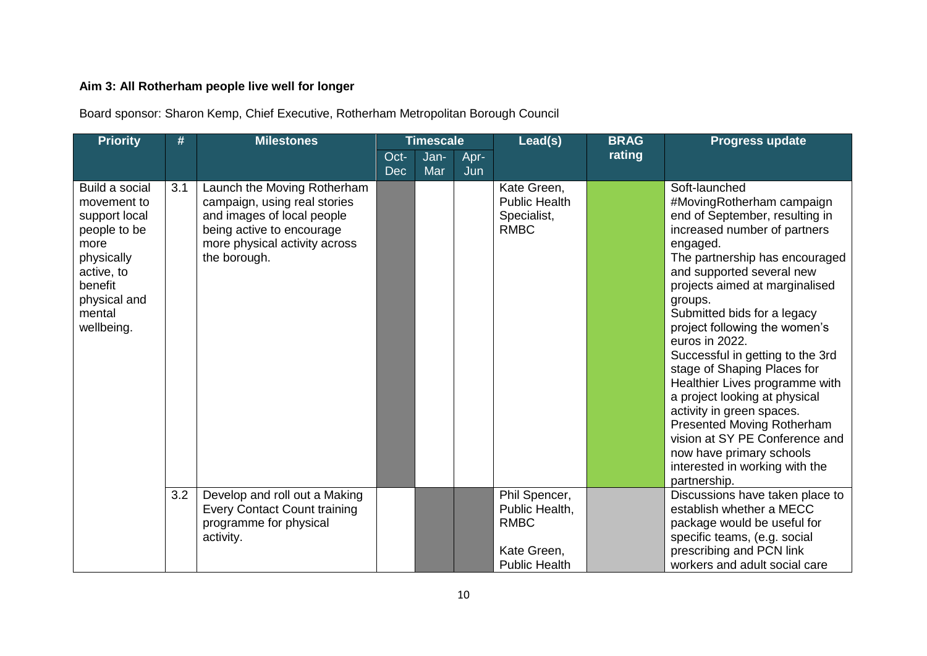# **Aim 3: All Rotherham people live well for longer**

Board sponsor: Sharon Kemp, Chief Executive, Rotherham Metropolitan Borough Council

| <b>Priority</b>                                                                                                                                       | #   | <b>Milestones</b>                                                                                                                                                       |                    | <b>Timescale</b> |             | Lead(s)                                                                               | <b>BRAG</b> | <b>Progress update</b>                                                                                                                                                                                                                                                                                                                                                                                                                                                                                                                                                                                                                  |
|-------------------------------------------------------------------------------------------------------------------------------------------------------|-----|-------------------------------------------------------------------------------------------------------------------------------------------------------------------------|--------------------|------------------|-------------|---------------------------------------------------------------------------------------|-------------|-----------------------------------------------------------------------------------------------------------------------------------------------------------------------------------------------------------------------------------------------------------------------------------------------------------------------------------------------------------------------------------------------------------------------------------------------------------------------------------------------------------------------------------------------------------------------------------------------------------------------------------------|
|                                                                                                                                                       |     |                                                                                                                                                                         | Oct-<br><b>Dec</b> | Jan-<br>Mar      | Apr-<br>Jun |                                                                                       | rating      |                                                                                                                                                                                                                                                                                                                                                                                                                                                                                                                                                                                                                                         |
| Build a social<br>movement to<br>support local<br>people to be<br>more<br>physically<br>active, to<br>benefit<br>physical and<br>mental<br>wellbeing. | 3.1 | Launch the Moving Rotherham<br>campaign, using real stories<br>and images of local people<br>being active to encourage<br>more physical activity across<br>the borough. |                    |                  |             | Kate Green,<br><b>Public Health</b><br>Specialist,<br><b>RMBC</b>                     |             | Soft-launched<br>#MovingRotherham campaign<br>end of September, resulting in<br>increased number of partners<br>engaged.<br>The partnership has encouraged<br>and supported several new<br>projects aimed at marginalised<br>groups.<br>Submitted bids for a legacy<br>project following the women's<br>euros in 2022.<br>Successful in getting to the 3rd<br>stage of Shaping Places for<br>Healthier Lives programme with<br>a project looking at physical<br>activity in green spaces.<br>Presented Moving Rotherham<br>vision at SY PE Conference and<br>now have primary schools<br>interested in working with the<br>partnership. |
|                                                                                                                                                       | 3.2 | Develop and roll out a Making<br><b>Every Contact Count training</b><br>programme for physical<br>activity.                                                             |                    |                  |             | Phil Spencer,<br>Public Health,<br><b>RMBC</b><br>Kate Green,<br><b>Public Health</b> |             | Discussions have taken place to<br>establish whether a MECC<br>package would be useful for<br>specific teams, (e.g. social<br>prescribing and PCN link<br>workers and adult social care                                                                                                                                                                                                                                                                                                                                                                                                                                                 |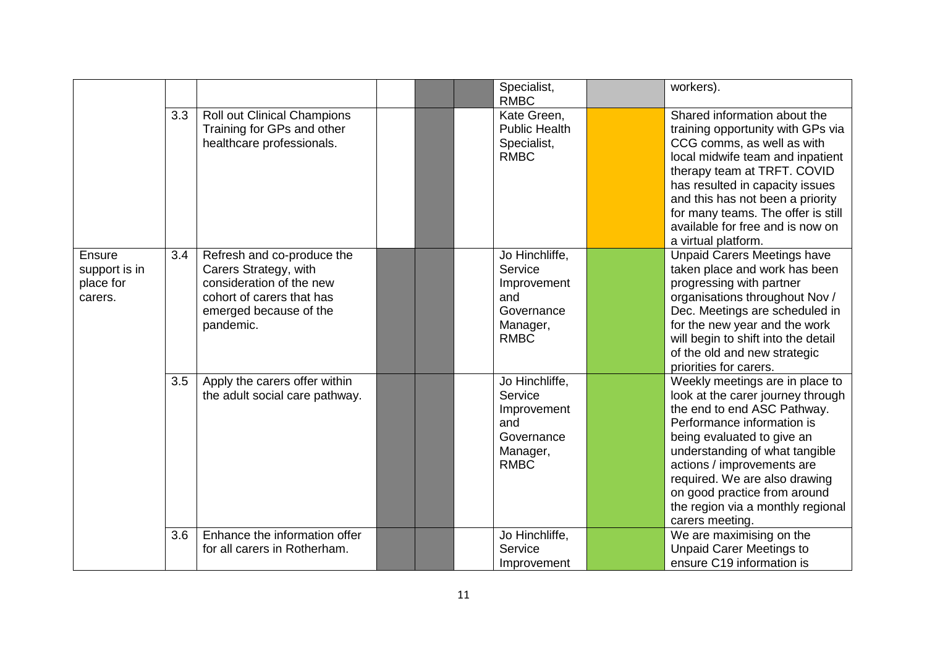|                                                        |     |                                                                                                                                                     |  | Specialist,<br><b>RMBC</b>                                                               | workers).                                                                                                                                                                                                                                                                                                                                                |
|--------------------------------------------------------|-----|-----------------------------------------------------------------------------------------------------------------------------------------------------|--|------------------------------------------------------------------------------------------|----------------------------------------------------------------------------------------------------------------------------------------------------------------------------------------------------------------------------------------------------------------------------------------------------------------------------------------------------------|
|                                                        | 3.3 | Roll out Clinical Champions<br>Training for GPs and other<br>healthcare professionals.                                                              |  | Kate Green,<br><b>Public Health</b><br>Specialist,<br><b>RMBC</b>                        | Shared information about the<br>training opportunity with GPs via<br>CCG comms, as well as with<br>local midwife team and inpatient<br>therapy team at TRFT. COVID<br>has resulted in capacity issues<br>and this has not been a priority<br>for many teams. The offer is still<br>available for free and is now on<br>a virtual platform.               |
| <b>Ensure</b><br>support is in<br>place for<br>carers. | 3.4 | Refresh and co-produce the<br>Carers Strategy, with<br>consideration of the new<br>cohort of carers that has<br>emerged because of the<br>pandemic. |  | Jo Hinchliffe,<br>Service<br>Improvement<br>and<br>Governance<br>Manager,<br><b>RMBC</b> | <b>Unpaid Carers Meetings have</b><br>taken place and work has been<br>progressing with partner<br>organisations throughout Nov /<br>Dec. Meetings are scheduled in<br>for the new year and the work<br>will begin to shift into the detail<br>of the old and new strategic<br>priorities for carers.                                                    |
|                                                        | 3.5 | Apply the carers offer within<br>the adult social care pathway.                                                                                     |  | Jo Hinchliffe,<br>Service<br>Improvement<br>and<br>Governance<br>Manager,<br><b>RMBC</b> | Weekly meetings are in place to<br>look at the carer journey through<br>the end to end ASC Pathway.<br>Performance information is<br>being evaluated to give an<br>understanding of what tangible<br>actions / improvements are<br>required. We are also drawing<br>on good practice from around<br>the region via a monthly regional<br>carers meeting. |
|                                                        | 3.6 | Enhance the information offer<br>for all carers in Rotherham.                                                                                       |  | Jo Hinchliffe,<br>Service<br>Improvement                                                 | We are maximising on the<br><b>Unpaid Carer Meetings to</b><br>ensure C19 information is                                                                                                                                                                                                                                                                 |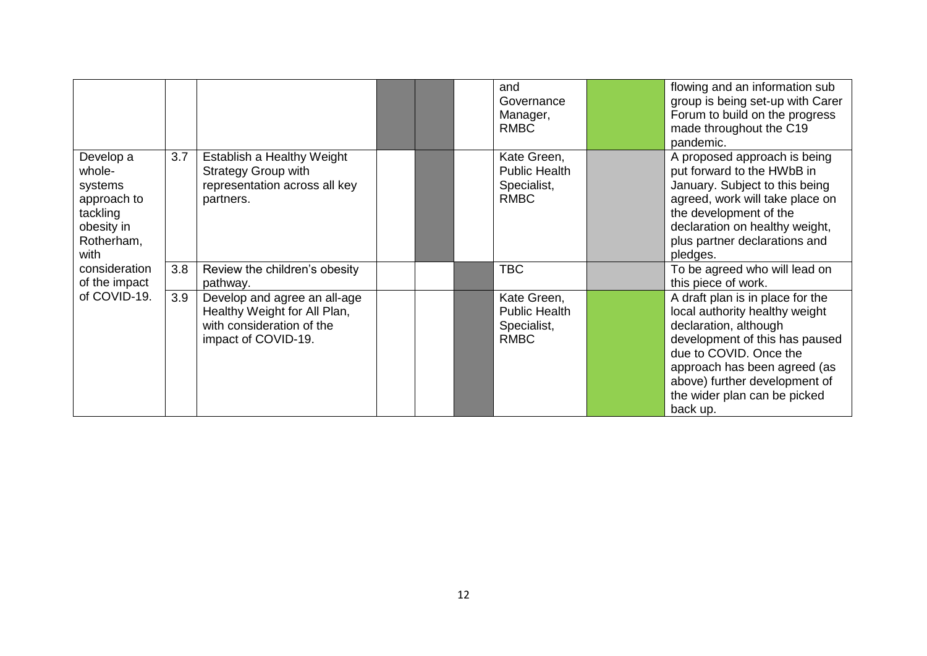|                                                                                               |     |                                                                                                                  |  | and<br>Governance<br>Manager,<br><b>RMBC</b>                      | flowing and an information sub<br>group is being set-up with Carer<br>Forum to build on the progress<br>made throughout the C19<br>pandemic.                                                                                                                         |
|-----------------------------------------------------------------------------------------------|-----|------------------------------------------------------------------------------------------------------------------|--|-------------------------------------------------------------------|----------------------------------------------------------------------------------------------------------------------------------------------------------------------------------------------------------------------------------------------------------------------|
| Develop a<br>whole-<br>systems<br>approach to<br>tackling<br>obesity in<br>Rotherham,<br>with | 3.7 | Establish a Healthy Weight<br><b>Strategy Group with</b><br>representation across all key<br>partners.           |  | Kate Green,<br><b>Public Health</b><br>Specialist,<br><b>RMBC</b> | A proposed approach is being<br>put forward to the HWbB in<br>January. Subject to this being<br>agreed, work will take place on<br>the development of the<br>declaration on healthy weight,<br>plus partner declarations and<br>pledges.                             |
| consideration<br>of the impact                                                                | 3.8 | Review the children's obesity<br>pathway.                                                                        |  | <b>TBC</b>                                                        | To be agreed who will lead on<br>this piece of work.                                                                                                                                                                                                                 |
| of COVID-19.                                                                                  | 3.9 | Develop and agree an all-age<br>Healthy Weight for All Plan,<br>with consideration of the<br>impact of COVID-19. |  | Kate Green,<br><b>Public Health</b><br>Specialist,<br><b>RMBC</b> | A draft plan is in place for the<br>local authority healthy weight<br>declaration, although<br>development of this has paused<br>due to COVID. Once the<br>approach has been agreed (as<br>above) further development of<br>the wider plan can be picked<br>back up. |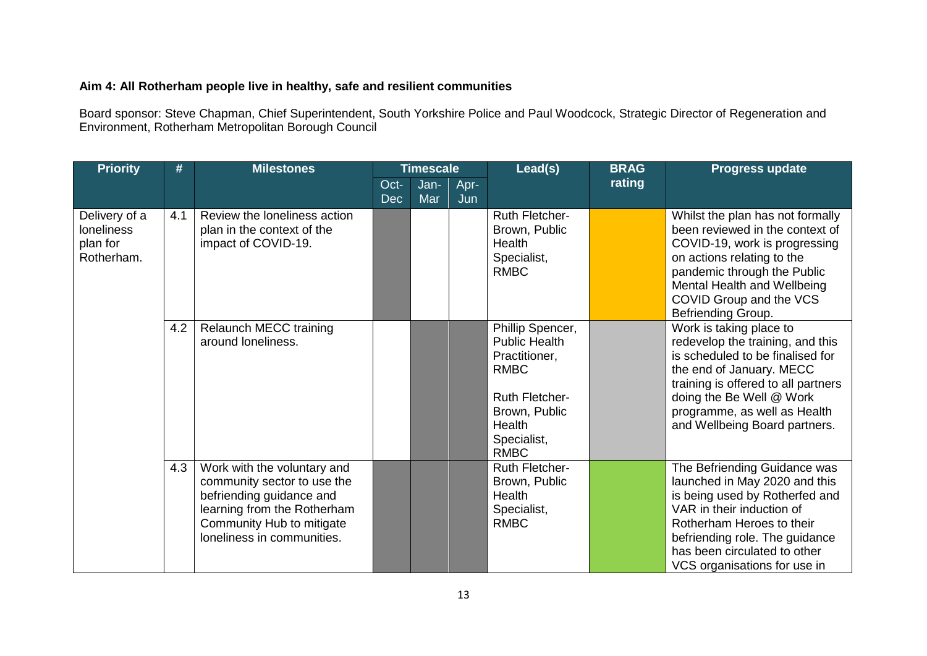### **Aim 4: All Rotherham people live in healthy, safe and resilient communities**

Board sponsor: Steve Chapman, Chief Superintendent, South Yorkshire Police and Paul Woodcock, Strategic Director of Regeneration and Environment, Rotherham Metropolitan Borough Council

| <b>Priority</b>                                       | #   | <b>Milestones</b>                                                                                                                                                                | <b>Timescale</b>   |             |             | Lead(s)                                                                                                                                                    | <b>BRAG</b> | <b>Progress update</b>                                                                                                                                                                                                                                          |
|-------------------------------------------------------|-----|----------------------------------------------------------------------------------------------------------------------------------------------------------------------------------|--------------------|-------------|-------------|------------------------------------------------------------------------------------------------------------------------------------------------------------|-------------|-----------------------------------------------------------------------------------------------------------------------------------------------------------------------------------------------------------------------------------------------------------------|
|                                                       |     |                                                                                                                                                                                  | Oct-<br><b>Dec</b> | Jan-<br>Mar | Apr-<br>Jun |                                                                                                                                                            | rating      |                                                                                                                                                                                                                                                                 |
| Delivery of a<br>loneliness<br>plan for<br>Rotherham. | 4.1 | Review the loneliness action<br>plan in the context of the<br>impact of COVID-19.                                                                                                |                    |             |             | Ruth Fletcher-<br>Brown, Public<br><b>Health</b><br>Specialist,<br><b>RMBC</b>                                                                             |             | Whilst the plan has not formally<br>been reviewed in the context of<br>COVID-19, work is progressing<br>on actions relating to the<br>pandemic through the Public<br>Mental Health and Wellbeing<br>COVID Group and the VCS<br>Befriending Group.               |
|                                                       | 4.2 | <b>Relaunch MECC training</b><br>around loneliness.                                                                                                                              |                    |             |             | Phillip Spencer,<br><b>Public Health</b><br>Practitioner,<br><b>RMBC</b><br><b>Ruth Fletcher-</b><br>Brown, Public<br>Health<br>Specialist,<br><b>RMBC</b> |             | Work is taking place to<br>redevelop the training, and this<br>is scheduled to be finalised for<br>the end of January. MECC<br>training is offered to all partners<br>doing the Be Well @ Work<br>programme, as well as Health<br>and Wellbeing Board partners. |
|                                                       | 4.3 | Work with the voluntary and<br>community sector to use the<br>befriending guidance and<br>learning from the Rotherham<br>Community Hub to mitigate<br>loneliness in communities. |                    |             |             | Ruth Fletcher-<br>Brown, Public<br><b>Health</b><br>Specialist,<br><b>RMBC</b>                                                                             |             | The Befriending Guidance was<br>launched in May 2020 and this<br>is being used by Rotherfed and<br>VAR in their induction of<br>Rotherham Heroes to their<br>befriending role. The guidance<br>has been circulated to other<br>VCS organisations for use in     |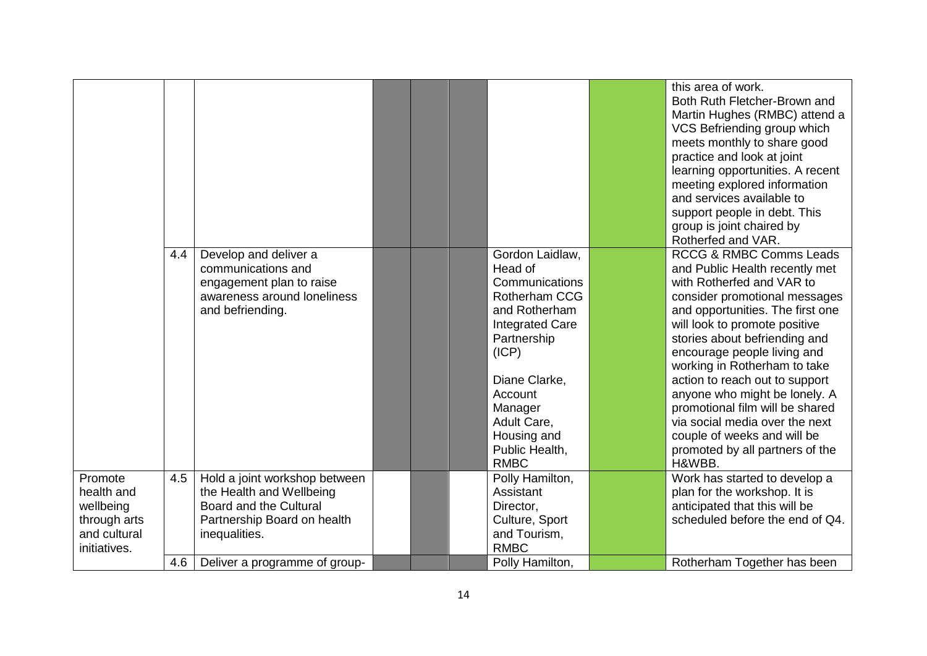|                                                                                    |     |                                                                                                                                     |  |                                                                                                                                                                                                                                        | this area of work.<br>Both Ruth Fletcher-Brown and<br>Martin Hughes (RMBC) attend a<br>VCS Befriending group which<br>meets monthly to share good<br>practice and look at joint<br>learning opportunities. A recent<br>meeting explored information<br>and services available to<br>support people in debt. This<br>group is joint chaired by<br>Rotherfed and VAR.                                                                                                                                                         |
|------------------------------------------------------------------------------------|-----|-------------------------------------------------------------------------------------------------------------------------------------|--|----------------------------------------------------------------------------------------------------------------------------------------------------------------------------------------------------------------------------------------|-----------------------------------------------------------------------------------------------------------------------------------------------------------------------------------------------------------------------------------------------------------------------------------------------------------------------------------------------------------------------------------------------------------------------------------------------------------------------------------------------------------------------------|
|                                                                                    | 4.4 | Develop and deliver a<br>communications and<br>engagement plan to raise<br>awareness around loneliness<br>and befriending.          |  | Gordon Laidlaw,<br>Head of<br>Communications<br>Rotherham CCG<br>and Rotherham<br><b>Integrated Care</b><br>Partnership<br>(ICP)<br>Diane Clarke,<br>Account<br>Manager<br>Adult Care,<br>Housing and<br>Public Health,<br><b>RMBC</b> | <b>RCCG &amp; RMBC Comms Leads</b><br>and Public Health recently met<br>with Rotherfed and VAR to<br>consider promotional messages<br>and opportunities. The first one<br>will look to promote positive<br>stories about befriending and<br>encourage people living and<br>working in Rotherham to take<br>action to reach out to support<br>anyone who might be lonely. A<br>promotional film will be shared<br>via social media over the next<br>couple of weeks and will be<br>promoted by all partners of the<br>H&WBB. |
| Promote<br>health and<br>wellbeing<br>through arts<br>and cultural<br>initiatives. | 4.5 | Hold a joint workshop between<br>the Health and Wellbeing<br>Board and the Cultural<br>Partnership Board on health<br>inequalities. |  | Polly Hamilton,<br>Assistant<br>Director,<br>Culture, Sport<br>and Tourism,<br><b>RMBC</b>                                                                                                                                             | Work has started to develop a<br>plan for the workshop. It is<br>anticipated that this will be<br>scheduled before the end of Q4.                                                                                                                                                                                                                                                                                                                                                                                           |
|                                                                                    | 4.6 | Deliver a programme of group-                                                                                                       |  | Polly Hamilton,                                                                                                                                                                                                                        | Rotherham Together has been                                                                                                                                                                                                                                                                                                                                                                                                                                                                                                 |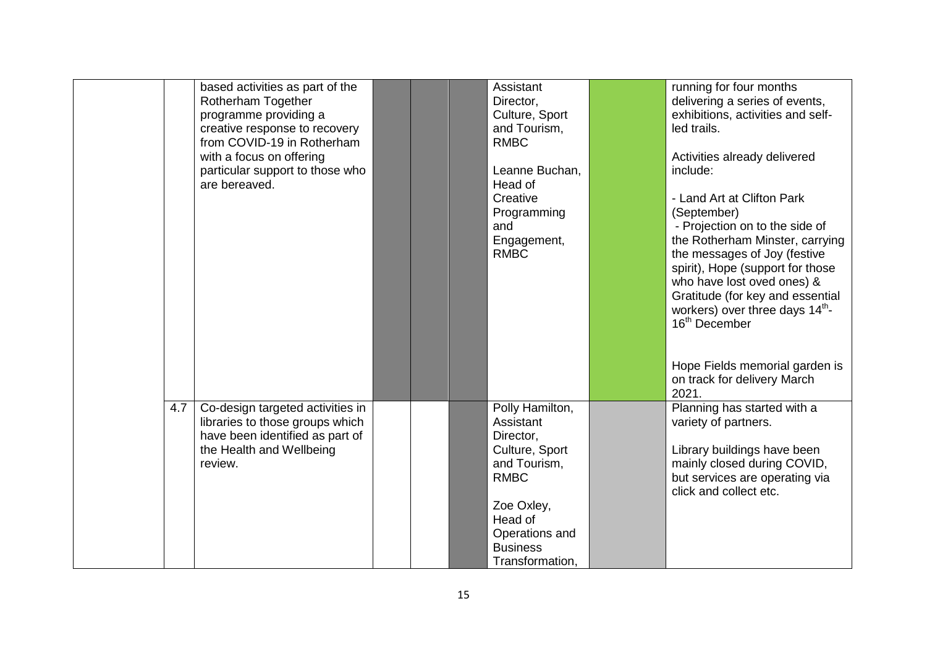|     | based activities as part of the<br>Rotherham Together<br>programme providing a<br>creative response to recovery<br>from COVID-19 in Rotherham<br>with a focus on offering<br>particular support to those who<br>are bereaved. |  | Assistant<br>Director,<br>Culture, Sport<br>and Tourism,<br><b>RMBC</b><br>Leanne Buchan,<br>Head of<br>Creative<br>Programming<br>and<br>Engagement,<br><b>RMBC</b>        | running for four months<br>delivering a series of events,<br>exhibitions, activities and self-<br>led trails.<br>Activities already delivered<br>include:<br>- Land Art at Clifton Park<br>(September)<br>- Projection on to the side of<br>the Rotherham Minster, carrying<br>the messages of Joy (festive<br>spirit), Hope (support for those<br>who have lost oved ones) &<br>Gratitude (for key and essential<br>workers) over three days 14 <sup>th</sup> -<br>16 <sup>th</sup> December<br>Hope Fields memorial garden is<br>on track for delivery March<br>2021. |
|-----|-------------------------------------------------------------------------------------------------------------------------------------------------------------------------------------------------------------------------------|--|-----------------------------------------------------------------------------------------------------------------------------------------------------------------------------|-------------------------------------------------------------------------------------------------------------------------------------------------------------------------------------------------------------------------------------------------------------------------------------------------------------------------------------------------------------------------------------------------------------------------------------------------------------------------------------------------------------------------------------------------------------------------|
| 4.7 | Co-design targeted activities in<br>libraries to those groups which<br>have been identified as part of<br>the Health and Wellbeing<br>review.                                                                                 |  | Polly Hamilton,<br>Assistant<br>Director,<br>Culture, Sport<br>and Tourism,<br><b>RMBC</b><br>Zoe Oxley,<br>Head of<br>Operations and<br><b>Business</b><br>Transformation, | Planning has started with a<br>variety of partners.<br>Library buildings have been<br>mainly closed during COVID,<br>but services are operating via<br>click and collect etc.                                                                                                                                                                                                                                                                                                                                                                                           |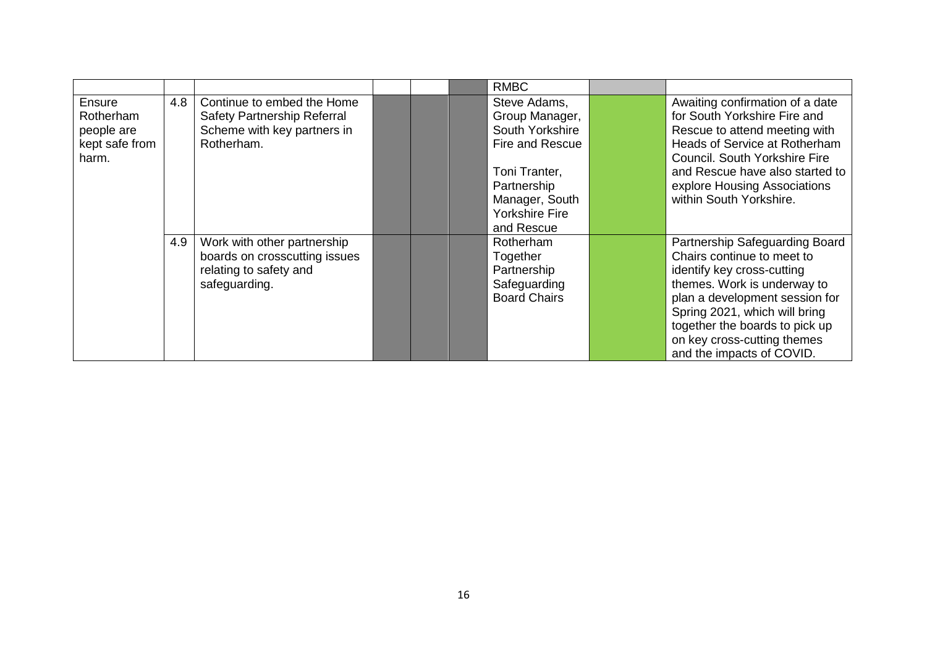|                                                              |     |                                                                                                         |  | <b>RMBC</b>                                                                                                                                                   |                                                                                                                                                                                                                                                                                            |
|--------------------------------------------------------------|-----|---------------------------------------------------------------------------------------------------------|--|---------------------------------------------------------------------------------------------------------------------------------------------------------------|--------------------------------------------------------------------------------------------------------------------------------------------------------------------------------------------------------------------------------------------------------------------------------------------|
| Ensure<br>Rotherham<br>people are<br>kept safe from<br>harm. | 4.8 | Continue to embed the Home<br>Safety Partnership Referral<br>Scheme with key partners in<br>Rotherham.  |  | Steve Adams,<br>Group Manager,<br>South Yorkshire<br>Fire and Rescue<br>Toni Tranter,<br>Partnership<br>Manager, South<br><b>Yorkshire Fire</b><br>and Rescue | Awaiting confirmation of a date<br>for South Yorkshire Fire and<br>Rescue to attend meeting with<br>Heads of Service at Rotherham<br>Council. South Yorkshire Fire<br>and Rescue have also started to<br>explore Housing Associations<br>within South Yorkshire.                           |
|                                                              | 4.9 | Work with other partnership<br>boards on crosscutting issues<br>relating to safety and<br>safeguarding. |  | Rotherham<br>Together<br>Partnership<br>Safeguarding<br><b>Board Chairs</b>                                                                                   | Partnership Safeguarding Board<br>Chairs continue to meet to<br>identify key cross-cutting<br>themes. Work is underway to<br>plan a development session for<br>Spring 2021, which will bring<br>together the boards to pick up<br>on key cross-cutting themes<br>and the impacts of COVID. |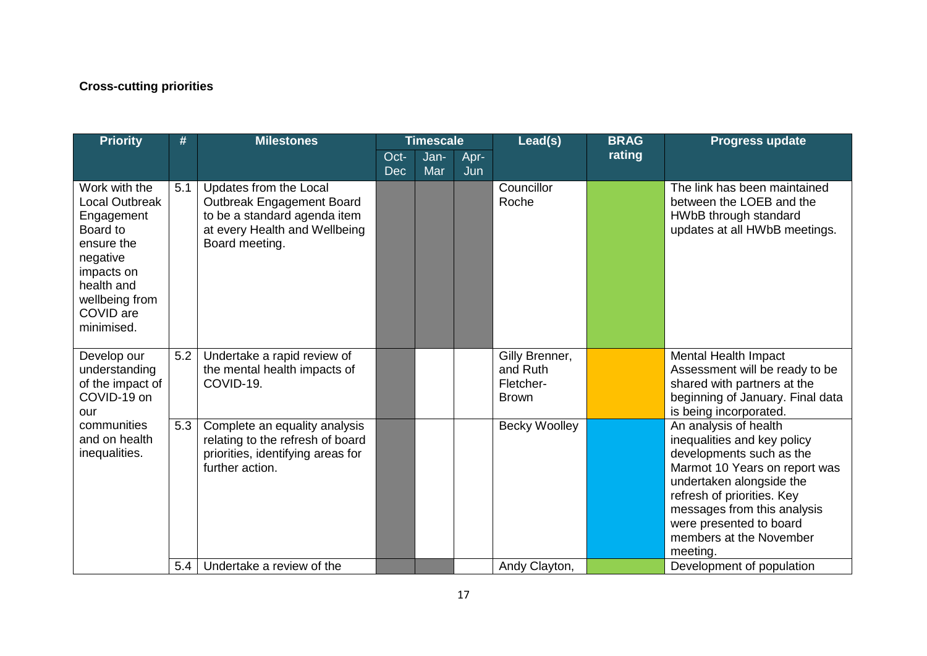# **Cross-cutting priorities**

| <b>Priority</b>                                                                                                                                                     | #   | <b>Milestones</b>                                                                                                                      | <b>Timescale</b>   |             | Lead(s)     | <b>BRAG</b>                                             | <b>Progress update</b> |                                                                                                                                                                                                                                                                              |
|---------------------------------------------------------------------------------------------------------------------------------------------------------------------|-----|----------------------------------------------------------------------------------------------------------------------------------------|--------------------|-------------|-------------|---------------------------------------------------------|------------------------|------------------------------------------------------------------------------------------------------------------------------------------------------------------------------------------------------------------------------------------------------------------------------|
|                                                                                                                                                                     |     |                                                                                                                                        | Oct-<br><b>Dec</b> | Jan-<br>Mar | Apr-<br>Jun |                                                         | rating                 |                                                                                                                                                                                                                                                                              |
| Work with the<br><b>Local Outbreak</b><br>Engagement<br>Board to<br>ensure the<br>negative<br>impacts on<br>health and<br>wellbeing from<br>COVID are<br>minimised. | 5.1 | Updates from the Local<br>Outbreak Engagement Board<br>to be a standard agenda item<br>at every Health and Wellbeing<br>Board meeting. |                    |             |             | Councillor<br>Roche                                     |                        | The link has been maintained<br>between the LOEB and the<br>HWbB through standard<br>updates at all HWbB meetings.                                                                                                                                                           |
| Develop our<br>understanding<br>of the impact of<br>COVID-19 on<br>our<br>communities<br>and on health<br>inequalities.                                             | 5.2 | Undertake a rapid review of<br>the mental health impacts of<br>COVID-19.                                                               |                    |             |             | Gilly Brenner,<br>and Ruth<br>Fletcher-<br><b>Brown</b> |                        | Mental Health Impact<br>Assessment will be ready to be<br>shared with partners at the<br>beginning of January. Final data<br>is being incorporated.                                                                                                                          |
|                                                                                                                                                                     | 5.3 | Complete an equality analysis<br>relating to the refresh of board<br>priorities, identifying areas for<br>further action.              |                    |             |             | <b>Becky Woolley</b>                                    |                        | An analysis of health<br>inequalities and key policy<br>developments such as the<br>Marmot 10 Years on report was<br>undertaken alongside the<br>refresh of priorities. Key<br>messages from this analysis<br>were presented to board<br>members at the November<br>meeting. |
|                                                                                                                                                                     | 5.4 | Undertake a review of the                                                                                                              |                    |             |             | Andy Clayton,                                           |                        | Development of population                                                                                                                                                                                                                                                    |